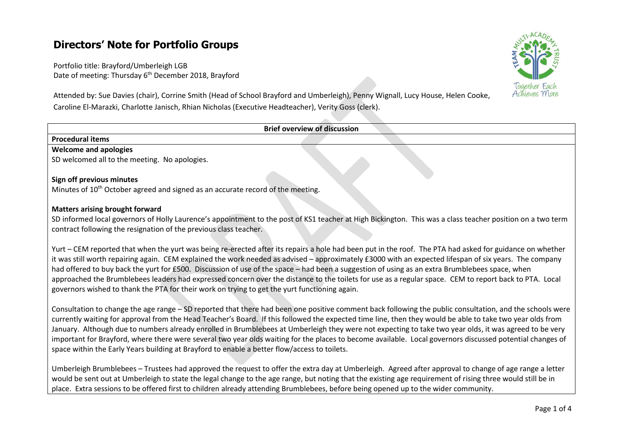# **Directors' Note for Portfolio Groups**

Portfolio title: Brayford/Umberleigh LGB Date of meeting: Thursday 6<sup>th</sup> December 2018, Brayford

Attended by: Sue Davies (chair), Corrine Smith (Head of School Brayford and Umberleigh), Penny Wignall, Lucy House, Helen Cooke, Caroline El-Marazki, Charlotte Janisch, Rhian Nicholas (Executive Headteacher), Verity Goss (clerk).



Yurt – CEM reported that when the yurt was being re-erected after its repairs a hole had been put in the roof. The PTA had asked for guidance on whether it was still worth repairing again. CEM explained the work needed as advised – approximately £3000 with an expected lifespan of six years. The company had offered to buy back the yurt for £500. Discussion of use of the space – had been a suggestion of using as an extra Brumblebees space, when approached the Brumblebees leaders had expressed concern over the distance to the toilets for use as a regular space. CEM to report back to PTA. Local governors wished to thank the PTA for their work on trying to get the yurt functioning again.

Consultation to change the age range – SD reported that there had been one positive comment back following the public consultation, and the schools were currently waiting for approval from the Head Teacher's Board. If this followed the expected time line, then they would be able to take two year olds from January. Although due to numbers already enrolled in Brumblebees at Umberleigh they were not expecting to take two year olds, it was agreed to be very important for Brayford, where there were several two year olds waiting for the places to become available. Local governors discussed potential changes of space within the Early Years building at Brayford to enable a better flow/access to toilets.

Umberleigh Brumblebees – Trustees had approved the request to offer the extra day at Umberleigh. Agreed after approval to change of age range a letter would be sent out at Umberleigh to state the legal change to the age range, but noting that the existing age requirement of rising three would still be in place. Extra sessions to be offered first to children already attending Brumblebees, before being opened up to the wider community.

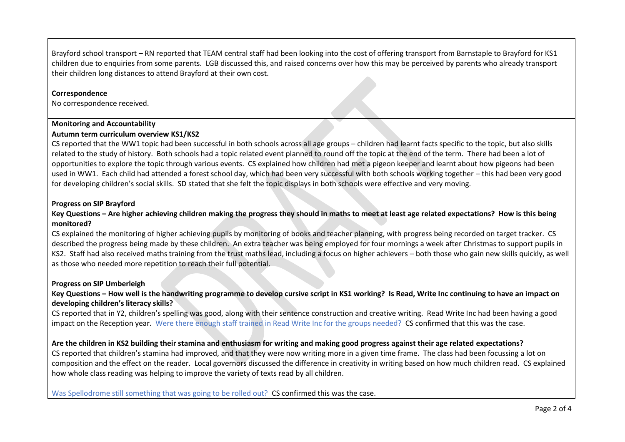Brayford school transport – RN reported that TEAM central staff had been looking into the cost of offering transport from Barnstaple to Brayford for KS1 children due to enquiries from some parents. LGB discussed this, and raised concerns over how this may be perceived by parents who already transport their children long distances to attend Brayford at their own cost.

## **Correspondence**

No correspondence received.

## **Monitoring and Accountability**

#### **Autumn term curriculum overview KS1/KS2**

CS reported that the WW1 topic had been successful in both schools across all age groups – children had learnt facts specific to the topic, but also skills related to the study of history. Both schools had a topic related event planned to round off the topic at the end of the term. There had been a lot of opportunities to explore the topic through various events. CS explained how children had met a pigeon keeper and learnt about how pigeons had been used in WW1. Each child had attended a forest school day, which had been very successful with both schools working together – this had been very good for developing children's social skills. SD stated that she felt the topic displays in both schools were effective and very moving.

# **Progress on SIP Brayford**

# **Key Questions – Are higher achieving children making the progress they should in maths to meet at least age related expectations? How is this being monitored?**

CS explained the monitoring of higher achieving pupils by monitoring of books and teacher planning, with progress being recorded on target tracker. CS described the progress being made by these children. An extra teacher was being employed for four mornings a week after Christmas to support pupils in KS2. Staff had also received maths training from the trust maths lead, including a focus on higher achievers – both those who gain new skills quickly, as well as those who needed more repetition to reach their full potential.

## **Progress on SIP Umberleigh**

# **Key Questions – How well is the handwriting programme to develop cursive script in KS1 working? Is Read, Write Inc continuing to have an impact on developing children's literacy skills?**

CS reported that in Y2, children's spelling was good, along with their sentence construction and creative writing. Read Write Inc had been having a good impact on the Reception year. Were there enough staff trained in Read Write Inc for the groups needed? CS confirmed that this was the case.

# **Are the children in KS2 building their stamina and enthusiasm for writing and making good progress against their age related expectations?**

CS reported that children's stamina had improved, and that they were now writing more in a given time frame. The class had been focussing a lot on composition and the effect on the reader. Local governors discussed the difference in creativity in writing based on how much children read. CS explained how whole class reading was helping to improve the variety of texts read by all children.

Was Spellodrome still something that was going to be rolled out? CS confirmed this was the case.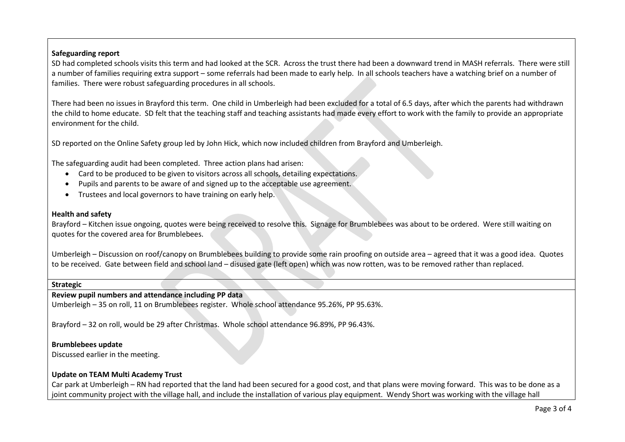# **Safeguarding report**

SD had completed schools visits this term and had looked at the SCR. Across the trust there had been a downward trend in MASH referrals. There were still a number of families requiring extra support – some referrals had been made to early help. In all schools teachers have a watching brief on a number of families. There were robust safeguarding procedures in all schools.

There had been no issues in Brayford this term. One child in Umberleigh had been excluded for a total of 6.5 days, after which the parents had withdrawn the child to home educate. SD felt that the teaching staff and teaching assistants had made every effort to work with the family to provide an appropriate environment for the child.

SD reported on the Online Safety group led by John Hick, which now included children from Brayford and Umberleigh.

The safeguarding audit had been completed. Three action plans had arisen:

- Card to be produced to be given to visitors across all schools, detailing expectations.
- Pupils and parents to be aware of and signed up to the acceptable use agreement.
- Trustees and local governors to have training on early help.

# **Health and safety**

Brayford – Kitchen issue ongoing, quotes were being received to resolve this. Signage for Brumblebees was about to be ordered. Were still waiting on quotes for the covered area for Brumblebees.

Umberleigh – Discussion on roof/canopy on Brumblebees building to provide some rain proofing on outside area – agreed that it was a good idea. Quotes to be received. Gate between field and school land – disused gate (left open) which was now rotten, was to be removed rather than replaced.

## **Strategic**

## **Review pupil numbers and attendance including PP data**

Umberleigh – 35 on roll, 11 on Brumblebees register. Whole school attendance 95.26%, PP 95.63%.

Brayford – 32 on roll, would be 29 after Christmas. Whole school attendance 96.89%, PP 96.43%.

# **Brumblebees update**

Discussed earlier in the meeting.

# **Update on TEAM Multi Academy Trust**

Car park at Umberleigh – RN had reported that the land had been secured for a good cost, and that plans were moving forward. This was to be done as a joint community project with the village hall, and include the installation of various play equipment. Wendy Short was working with the village hall